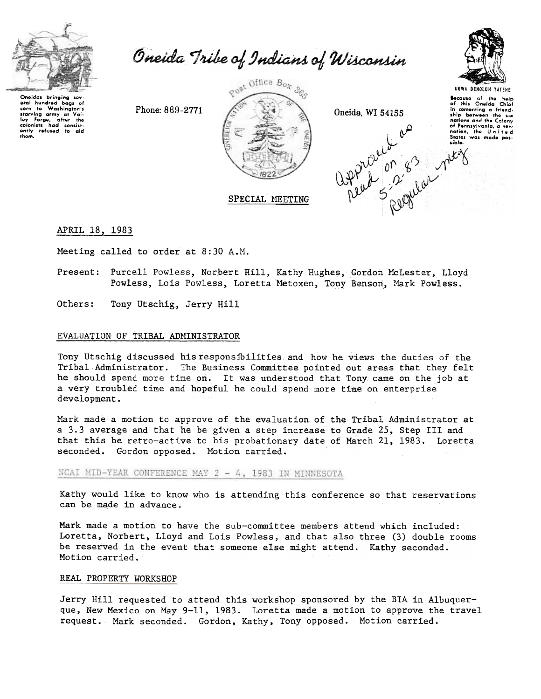

corn to Washington's

starving army at ley forge, after the

baas of

eral hundred

them.

Oneida Tribe of Indians of Wisconsin



Phone: 869-2771



Oneida, WI 54155



**UGWA DEHOLUN YATEHE** Bocause of the help<br>of this Oneida Chief in cementing a friend-<br>ship between the six nations and the Colony of Pennsylvania, a nev nation, the United<br>States was made pos-

APRIL 18, 1983

Meeting called to order at 8:30 A.M.

Present: Purcell Powless, Norbert Hill, Kathy Hughes, Gordon McLester, Lloyd Powless, Lois Powless, Loretta Metoxen, Tony Benson, Mark Powless.

Others: Tony Utschig, Jerry Hill

### EVALUATION OF TRIBAL ADMINISTRATOR

Tony Utschig discussed his responsibilities and how he views the duties of the Tribal Administrator. The Business Committee pointed out areas that they felt he should spend more time on. It was understood that Tony came on the job at a very troubled time and hopeful he could spend more time on enterprise development.

Mark made a motion to approve of the evaluation of the Tribal Administrator at a 3.3 average and that he be given a step increase to Grade 25, Step III and that this be retro-active to his probationary date of March 21, 1983. Loretta seconded. Gordon opposed. Motion carried.

NCAI MID-YEAR CONFERENCE MAY 2 - 4, 1983 IN MINNESOTA

Kathy would like to know who is attending this conference so that reservations can be made in advance.

Mark made a motion to have the sub-committee members attend which included: Loretta, Norbert, Lloyd and Lois Powless, and that also three (3) double rooms be reserved in the event that someone else might attend. Kathy seconded. Motion carried.

## REAL PROPERTY WORKSHOP

Jerry Hill requested to attend this workshop sponsored by the BIA in Albuquerque, New Mexico on May 9-11, 1983. Loretta made a motion to approve the travel request. Mark seconded. Gordon, Kathy, Tony opposed. Motion carried.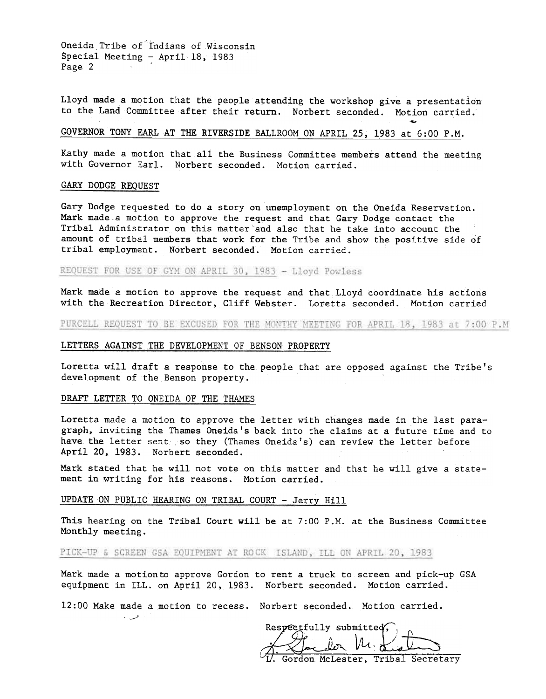Oneida Tribe of Indians of Wisconsin Special Meeting - April 18, 1983 Page 2

Lloyd made a motion that the people attending the workshop give a presentation to the Land Committee after their return. Norbert seconded. Motion carried.

# GOVERNOR TONY EARL AT THE RIVERSIDE BALLROOM ON APRIL 25, 1983 at 6:00 P.M.

Kathy made a motion that all the Business Committee members attend the meeting with Governor Earl. Norbert seconded. Motion carried.

#### GARY DODGE REQUEST

Gary Dodge requested to do a story on unemployment on the Oneida Reservation. Mark made a motion to approve the request and that Gary Dodge contact the Tribal Administrator on this matter and also that he take into account the amount of tribal members that work for the Tribe and show the positive side of tribal employment. Norbert seconded. Motion carried.

REQUEST FOR USE OF GYM ON APRIL 30, 1983 - Lloyd Powless

Mark made a motion to approve the request and that Lloyd coordinate his actions with the Recreation Director, Cliff Webster. Loretta seconded. Motion carried

PURCELL REQUEST TO BE EXCUSED FOR THE MONTHY MEETING FOR APRIL 18, 1983 at 7:00 P.M

### LETTERS AGAINST THE DEVELOPMENT OF BENSON PROPERTY

Loretta will draft a response to the people that are opposed against the Tribe's development of the Benson property.

#### DRAFT LETTER TO ONEIDA OF THE THAMES

 $\sim$ 

Loretta made a motion to approve the letter with changes made in the last paragraph, inviting the Thames Oneida's back into the claims at a future time and to have the letter sent so they (Thames Oneida's) can review the letter before April 20, 1983. Norbert seconded.

Mark stated that he will not vote on this matter and that he will give a statement in writing for his reasons. Motion carried.

### UPDATE ON PUBLIC HEARING ON TRIBAL COURT -Jerry Hill

This hearing on the Tribal Court will be at 7:00 P.M. at the Business Committee Monthly meeting.

#### PICK-UP & SCREEN GSA EQUIPMENT AT ROCK ISLAND, ILL ON APRIL 20, 1983

Mark made a motionto approve Gordon to rent a truck to screen and pick-up GSA equipment in ILL. on April 20, 1983. Norbert seconded. Motion carried.

12:00 Make made a motion to recess. Norbert seconded. Motion carried.

 $\frac{m}{\lambda}$   $\frac{m}{\lambda}$   $\frac{m}{\lambda}$   $\frac{m}{\lambda}$   $\frac{m}{\lambda}$  $M_{\rm H}$  and  $\sim$ Gordon McLester, Tribal Secretary